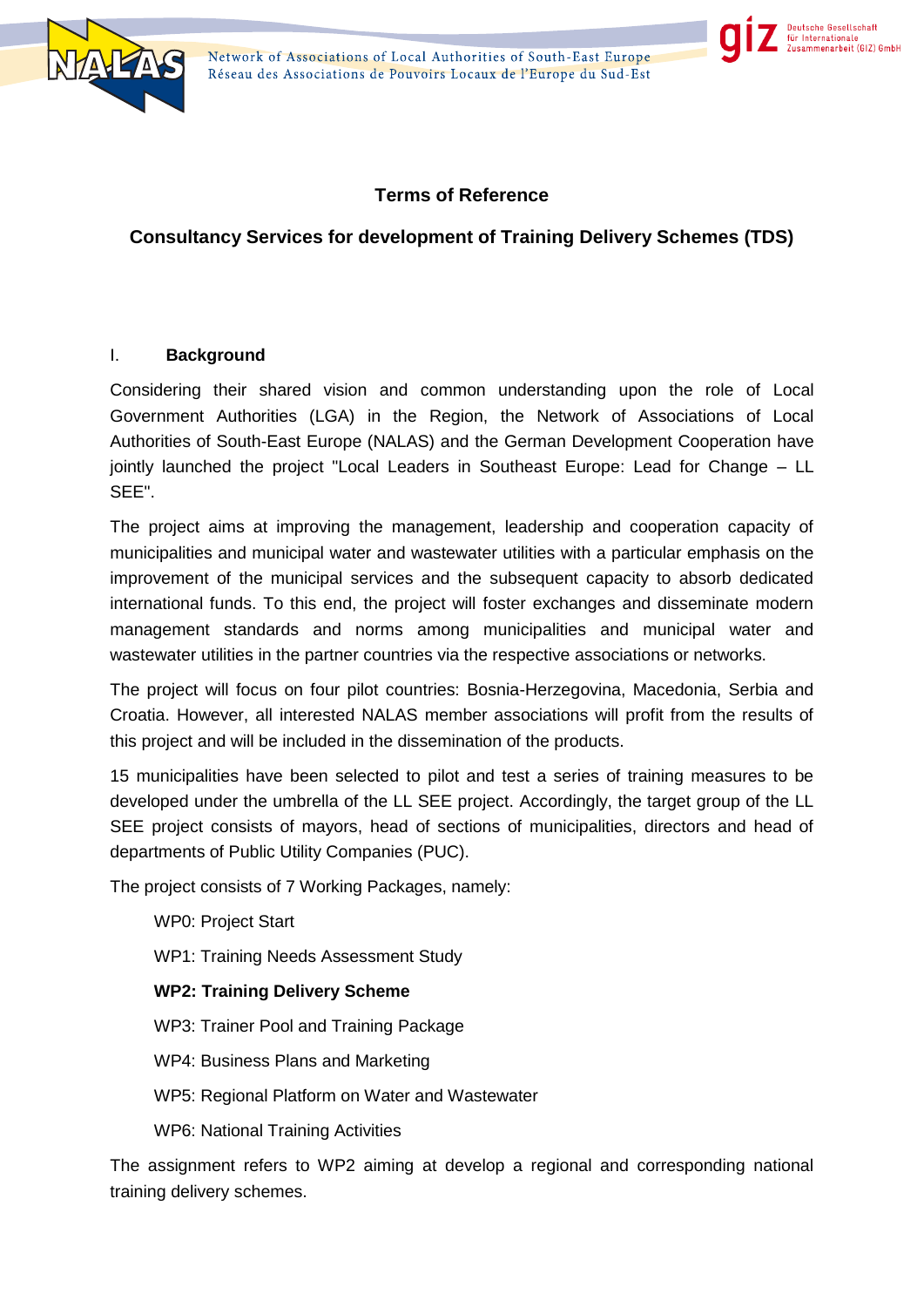



Deutsche Gesellschaft für Internationale<br>Zusammenarbeit (GIZ) GmbH

# **Consultancy Services for development of Training Delivery Schemes (TDS)**

### I. **Background**

Considering their shared vision and common understanding upon the role of Local Government Authorities (LGA) in the Region, the Network of Associations of Local Authorities of South-East Europe (NALAS) and the German Development Cooperation have jointly launched the project "Local Leaders in Southeast Europe: Lead for Change – LL SEE".

The project aims at improving the management, leadership and cooperation capacity of municipalities and municipal water and wastewater utilities with a particular emphasis on the improvement of the municipal services and the subsequent capacity to absorb dedicated international funds. To this end, the project will foster exchanges and disseminate modern management standards and norms among municipalities and municipal water and wastewater utilities in the partner countries via the respective associations or networks.

The project will focus on four pilot countries: Bosnia-Herzegovina, Macedonia, Serbia and Croatia. However, all interested NALAS member associations will profit from the results of this project and will be included in the dissemination of the products.

15 municipalities have been selected to pilot and test a series of training measures to be developed under the umbrella of the LL SEE project. Accordingly, the target group of the LL SEE project consists of mayors, head of sections of municipalities, directors and head of departments of Public Utility Companies (PUC).

The project consists of 7 Working Packages, namely:

WP0: Project Start

WP1: Training Needs Assessment Study

## **WP2: Training Delivery Scheme**

- WP3: Trainer Pool and Training Package
- WP4: Business Plans and Marketing
- WP5: Regional Platform on Water and Wastewater
- WP6: National Training Activities

The assignment refers to WP2 aiming at develop a regional and corresponding national training delivery schemes.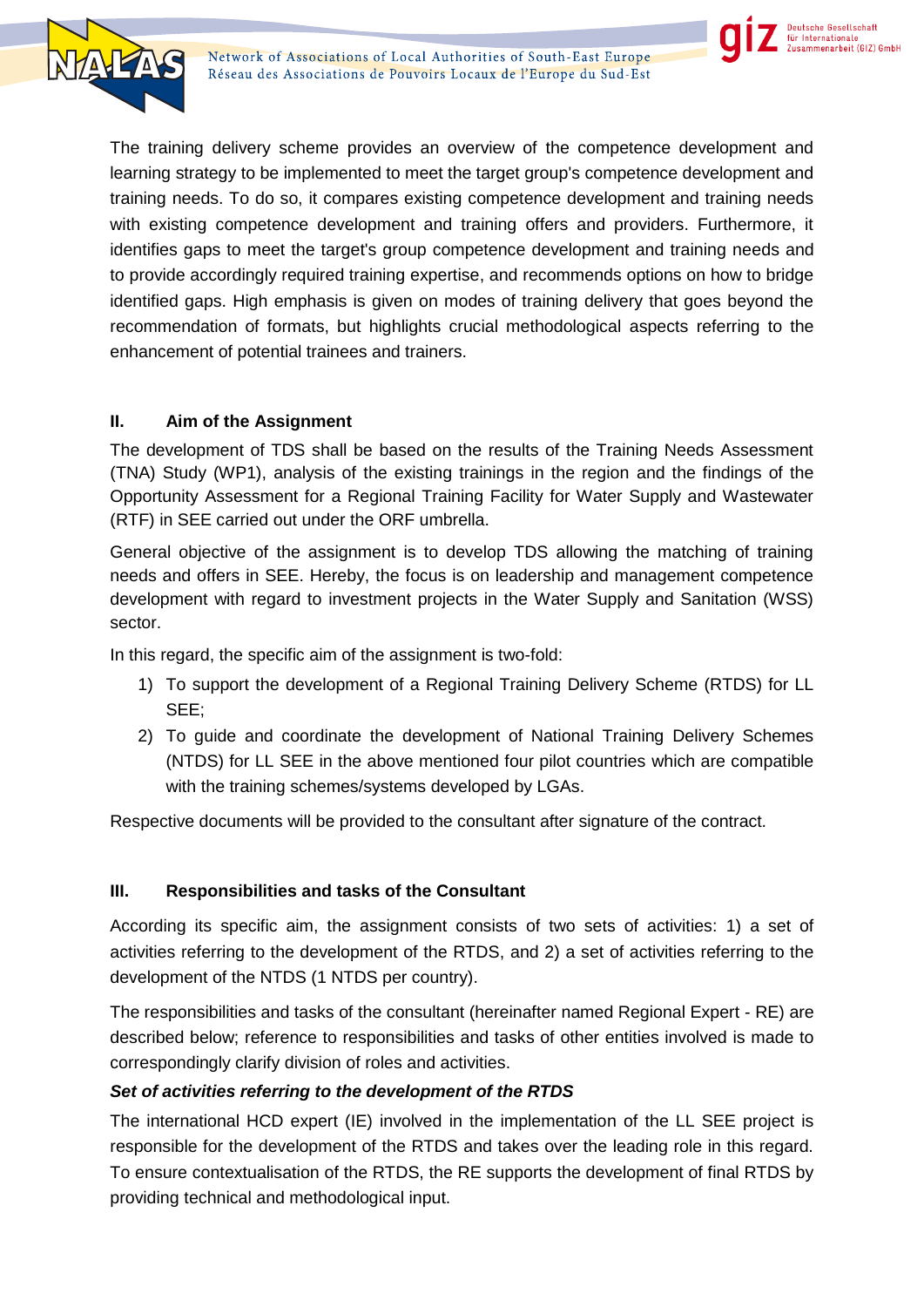Deutsche Gesellschaft für Internationale<br>Zusammenarbeit (GIZ) GmbH



The training delivery scheme provides an overview of the competence development and learning strategy to be implemented to meet the target group's competence development and training needs. To do so, it compares existing competence development and training needs with existing competence development and training offers and providers. Furthermore, it identifies gaps to meet the target's group competence development and training needs and to provide accordingly required training expertise, and recommends options on how to bridge identified gaps. High emphasis is given on modes of training delivery that goes beyond the recommendation of formats, but highlights crucial methodological aspects referring to the enhancement of potential trainees and trainers.

# **II. Aim of the Assignment**

The development of TDS shall be based on the results of the Training Needs Assessment (TNA) Study (WP1), analysis of the existing trainings in the region and the findings of the Opportunity Assessment for a Regional Training Facility for Water Supply and Wastewater (RTF) in SEE carried out under the ORF umbrella.

General objective of the assignment is to develop TDS allowing the matching of training needs and offers in SEE. Hereby, the focus is on leadership and management competence development with regard to investment projects in the Water Supply and Sanitation (WSS) sector.

In this regard, the specific aim of the assignment is two-fold:

- 1) To support the development of a Regional Training Delivery Scheme (RTDS) for LL SEE;
- 2) To guide and coordinate the development of National Training Delivery Schemes (NTDS) for LL SEE in the above mentioned four pilot countries which are compatible with the training schemes/systems developed by LGAs.

Respective documents will be provided to the consultant after signature of the contract.

# **III. Responsibilities and tasks of the Consultant**

According its specific aim, the assignment consists of two sets of activities: 1) a set of activities referring to the development of the RTDS, and 2) a set of activities referring to the development of the NTDS (1 NTDS per country).

The responsibilities and tasks of the consultant (hereinafter named Regional Expert - RE) are described below; reference to responsibilities and tasks of other entities involved is made to correspondingly clarify division of roles and activities.

# *Set of activities referring to the development of the RTDS*

The international HCD expert (IE) involved in the implementation of the LL SEE project is responsible for the development of the RTDS and takes over the leading role in this regard. To ensure contextualisation of the RTDS, the RE supports the development of final RTDS by providing technical and methodological input.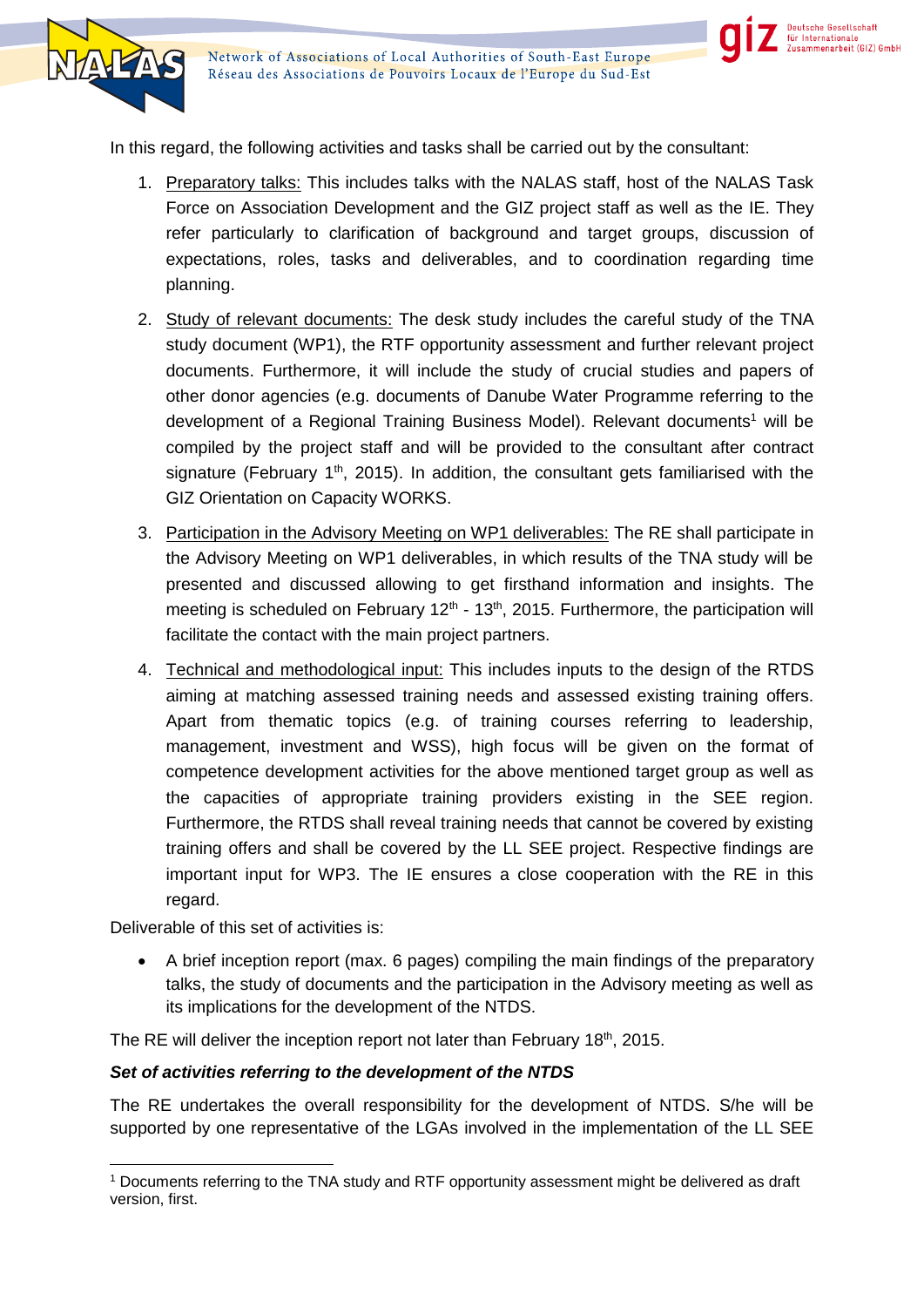

In this regard, the following activities and tasks shall be carried out by the consultant:

1. Preparatory talks: This includes talks with the NALAS staff, host of the NALAS Task Force on Association Development and the GIZ project staff as well as the IE. They refer particularly to clarification of background and target groups, discussion of expectations, roles, tasks and deliverables, and to coordination regarding time planning.

Deutsche Gesellschaft für Internationale<br>Zusammenarbeit (GIZ) GmbH

- 2. Study of relevant documents: The desk study includes the careful study of the TNA study document (WP1), the RTF opportunity assessment and further relevant project documents. Furthermore, it will include the study of crucial studies and papers of other donor agencies (e.g. documents of Danube Water Programme referring to the development of a Regional Training Business Model). Relevant documents<sup>1</sup> will be compiled by the project staff and will be provided to the consultant after contract signature (February  $1<sup>th</sup>$ , 2015). In addition, the consultant gets familiarised with the GIZ Orientation on Capacity WORKS.
- 3. Participation in the Advisory Meeting on WP1 deliverables: The RE shall participate in the Advisory Meeting on WP1 deliverables, in which results of the TNA study will be presented and discussed allowing to get firsthand information and insights. The meeting is scheduled on February  $12<sup>th</sup>$  - 13<sup>th</sup>, 2015. Furthermore, the participation will facilitate the contact with the main project partners.
- 4. Technical and methodological input: This includes inputs to the design of the RTDS aiming at matching assessed training needs and assessed existing training offers. Apart from thematic topics (e.g. of training courses referring to leadership, management, investment and WSS), high focus will be given on the format of competence development activities for the above mentioned target group as well as the capacities of appropriate training providers existing in the SEE region. Furthermore, the RTDS shall reveal training needs that cannot be covered by existing training offers and shall be covered by the LL SEE project. Respective findings are important input for WP3. The IE ensures a close cooperation with the RE in this regard.

Deliverable of this set of activities is:

 A brief inception report (max. 6 pages) compiling the main findings of the preparatory talks, the study of documents and the participation in the Advisory meeting as well as its implications for the development of the NTDS.

The RE will deliver the inception report not later than February 18<sup>th</sup>, 2015.

## *Set of activities referring to the development of the NTDS*

The RE undertakes the overall responsibility for the development of NTDS. S/he will be supported by one representative of the LGAs involved in the implementation of the LL SEE

<sup>1</sup> Documents referring to the TNA study and RTF opportunity assessment might be delivered as draft version, first.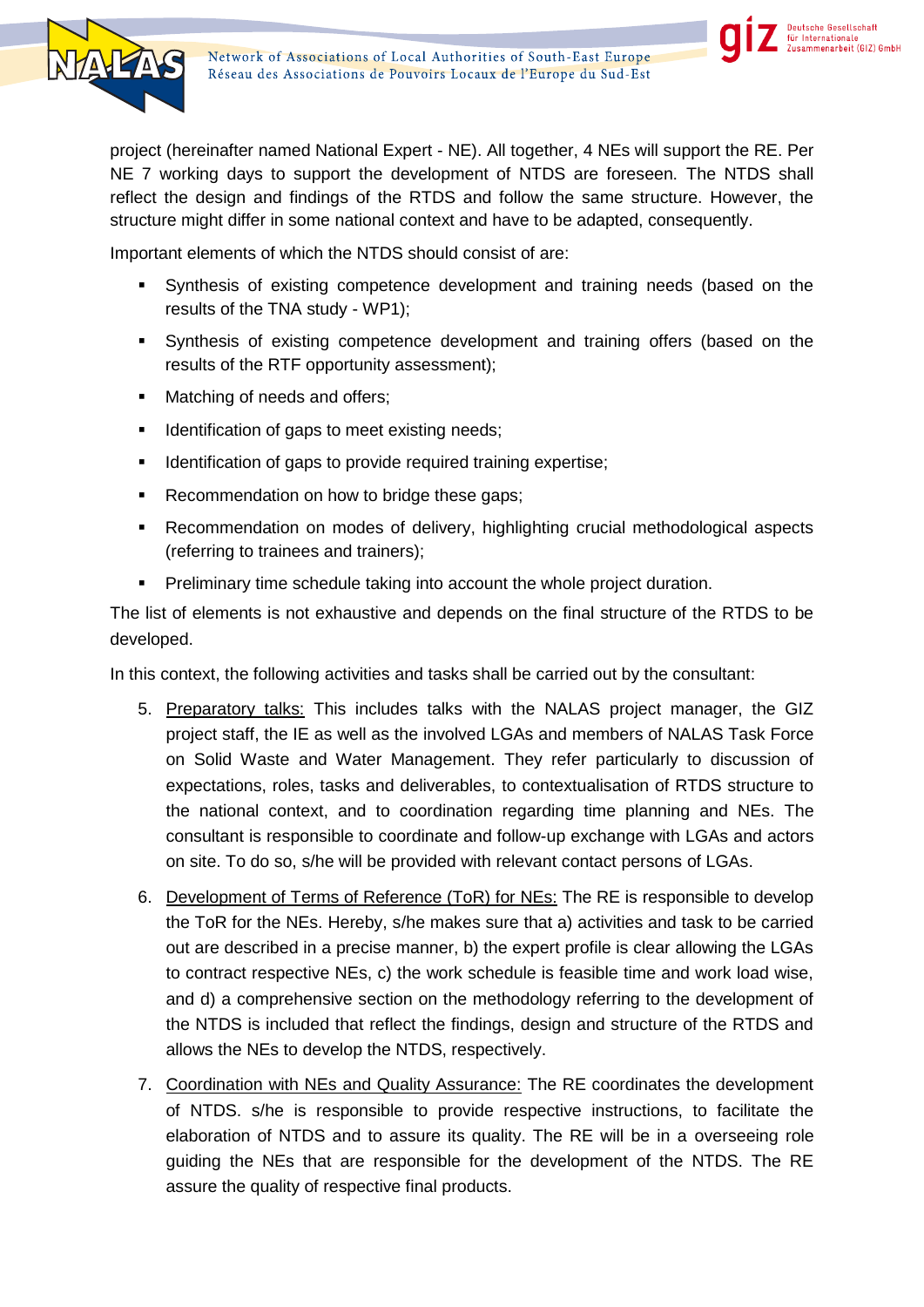

project (hereinafter named National Expert - NE). All together, 4 NEs will support the RE. Per NE 7 working days to support the development of NTDS are foreseen. The NTDS shall reflect the design and findings of the RTDS and follow the same structure. However, the structure might differ in some national context and have to be adapted, consequently.

Deutsche Gesellschaft für Internationale<br>Zusammenarbeit (GIZ) GmbH

Important elements of which the NTDS should consist of are:

- Synthesis of existing competence development and training needs (based on the results of the TNA study - WP1);
- Synthesis of existing competence development and training offers (based on the results of the RTF opportunity assessment);
- Matching of needs and offers;
- Identification of gaps to meet existing needs;
- **IDENTIFICATE IDEO** 1 **JUDEN 1 CONTER 1 CONTER 1 CONTER 1 CONTER 1 CONTERP 1 CONTERP 1 CONTERP 1 CONTERP 1 CONTERP 1 CONTERP 1 CONTERP 1 CONTERP 1 CONTERP 1 CONTERP**
- **Recommendation on how to bridge these gaps;**
- Recommendation on modes of delivery, highlighting crucial methodological aspects (referring to trainees and trainers);
- **Preliminary time schedule taking into account the whole project duration.**

The list of elements is not exhaustive and depends on the final structure of the RTDS to be developed.

In this context, the following activities and tasks shall be carried out by the consultant:

- 5. Preparatory talks: This includes talks with the NALAS project manager, the GIZ project staff, the IE as well as the involved LGAs and members of NALAS Task Force on Solid Waste and Water Management. They refer particularly to discussion of expectations, roles, tasks and deliverables, to contextualisation of RTDS structure to the national context, and to coordination regarding time planning and NEs. The consultant is responsible to coordinate and follow-up exchange with LGAs and actors on site. To do so, s/he will be provided with relevant contact persons of LGAs.
- 6. Development of Terms of Reference (ToR) for NEs: The RE is responsible to develop the ToR for the NEs. Hereby, s/he makes sure that a) activities and task to be carried out are described in a precise manner, b) the expert profile is clear allowing the LGAs to contract respective NEs, c) the work schedule is feasible time and work load wise, and d) a comprehensive section on the methodology referring to the development of the NTDS is included that reflect the findings, design and structure of the RTDS and allows the NEs to develop the NTDS, respectively.
- 7. Coordination with NEs and Quality Assurance: The RE coordinates the development of NTDS. s/he is responsible to provide respective instructions, to facilitate the elaboration of NTDS and to assure its quality. The RE will be in a overseeing role guiding the NEs that are responsible for the development of the NTDS. The RE assure the quality of respective final products.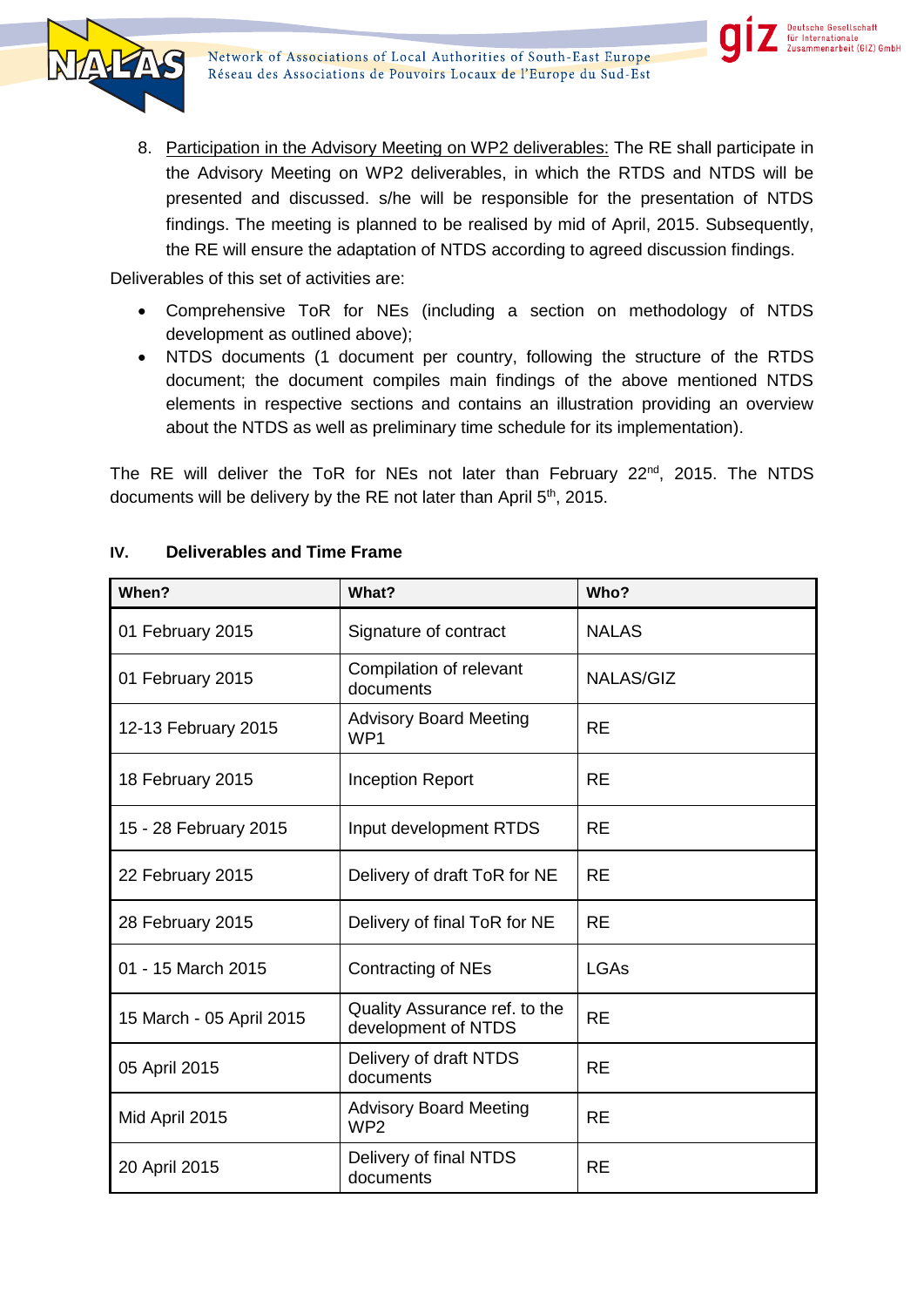

8. Participation in the Advisory Meeting on WP2 deliverables: The RE shall participate in the Advisory Meeting on WP2 deliverables, in which the RTDS and NTDS will be presented and discussed. s/he will be responsible for the presentation of NTDS findings. The meeting is planned to be realised by mid of April, 2015. Subsequently, the RE will ensure the adaptation of NTDS according to agreed discussion findings.

Deutsche Gesellschaft für Internationale<br>Zusammenarbeit (GIZ) GmbH

Deliverables of this set of activities are:

- Comprehensive ToR for NEs (including a section on methodology of NTDS development as outlined above);
- NTDS documents (1 document per country, following the structure of the RTDS document; the document compiles main findings of the above mentioned NTDS elements in respective sections and contains an illustration providing an overview about the NTDS as well as preliminary time schedule for its implementation).

The RE will deliver the ToR for NEs not later than February 22nd, 2015. The NTDS documents will be delivery by the RE not later than April 5<sup>th</sup>, 2015.

| When?                    | What?                                                | Who?         |
|--------------------------|------------------------------------------------------|--------------|
| 01 February 2015         | Signature of contract                                | <b>NALAS</b> |
| 01 February 2015         | Compilation of relevant<br>documents                 | NALAS/GIZ    |
| 12-13 February 2015      | <b>Advisory Board Meeting</b><br>WP1                 | <b>RE</b>    |
| 18 February 2015         | <b>Inception Report</b>                              | <b>RE</b>    |
| 15 - 28 February 2015    | Input development RTDS                               | <b>RE</b>    |
| 22 February 2015         | Delivery of draft ToR for NE                         | <b>RE</b>    |
| 28 February 2015         | Delivery of final ToR for NE                         | <b>RE</b>    |
| 01 - 15 March 2015       | Contracting of NEs                                   | LGAs         |
| 15 March - 05 April 2015 | Quality Assurance ref. to the<br>development of NTDS | <b>RE</b>    |
| 05 April 2015            | Delivery of draft NTDS<br>documents                  | <b>RE</b>    |
| Mid April 2015           | <b>Advisory Board Meeting</b><br>WP <sub>2</sub>     | <b>RE</b>    |
| 20 April 2015            | Delivery of final NTDS<br>documents                  | <b>RE</b>    |

## **IV. Deliverables and Time Frame**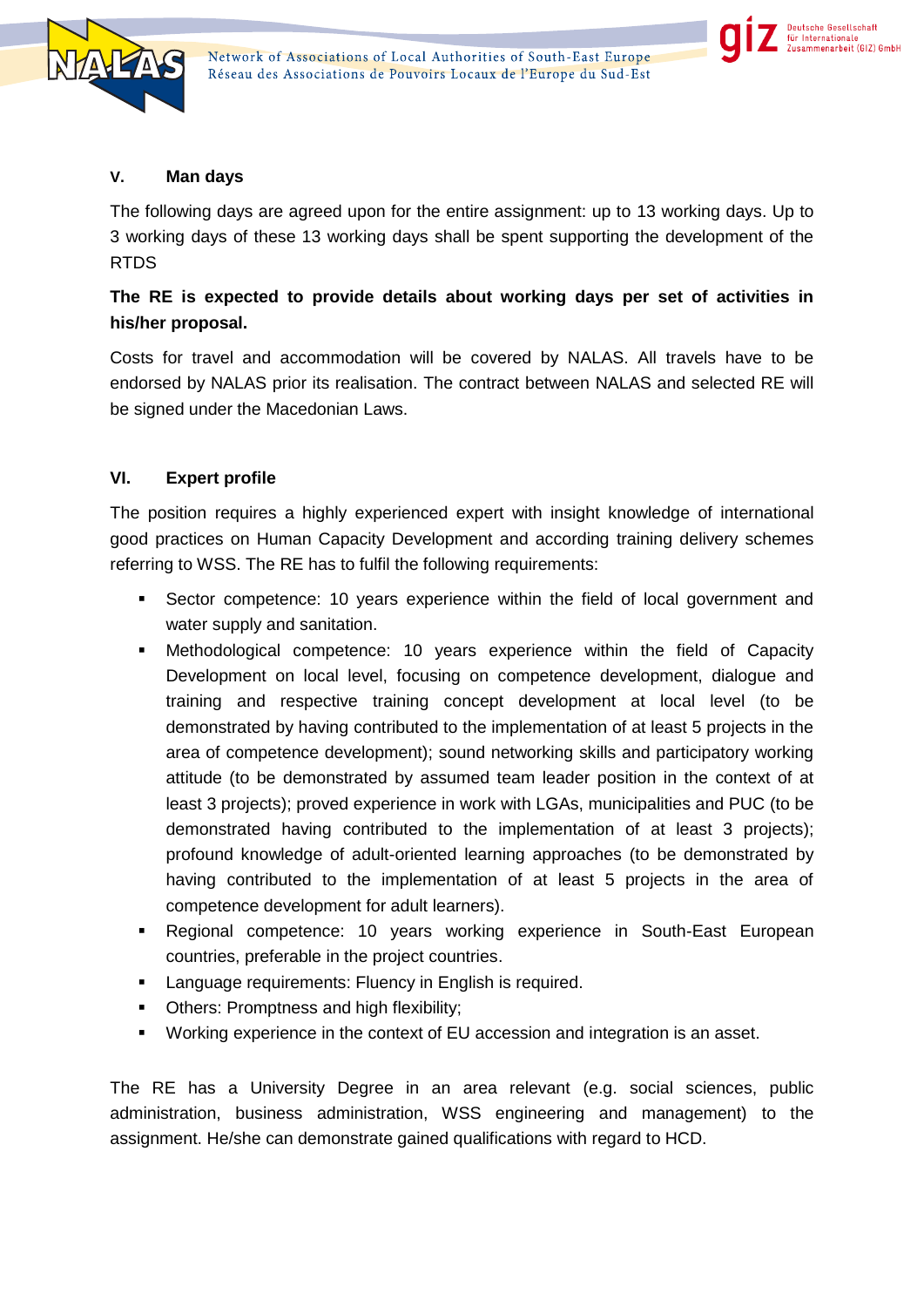



### **V. Man days**

The following days are agreed upon for the entire assignment: up to 13 working days. Up to 3 working days of these 13 working days shall be spent supporting the development of the RTDS

## **The RE is expected to provide details about working days per set of activities in his/her proposal.**

Costs for travel and accommodation will be covered by NALAS. All travels have to be endorsed by NALAS prior its realisation. The contract between NALAS and selected RE will be signed under the Macedonian Laws.

### **VI. Expert profile**

The position requires a highly experienced expert with insight knowledge of international good practices on Human Capacity Development and according training delivery schemes referring to WSS. The RE has to fulfil the following requirements:

- Sector competence: 10 years experience within the field of local government and water supply and sanitation.
- Methodological competence: 10 years experience within the field of Capacity Development on local level, focusing on competence development, dialogue and training and respective training concept development at local level (to be demonstrated by having contributed to the implementation of at least 5 projects in the area of competence development); sound networking skills and participatory working attitude (to be demonstrated by assumed team leader position in the context of at least 3 projects); proved experience in work with LGAs, municipalities and PUC (to be demonstrated having contributed to the implementation of at least 3 projects); profound knowledge of adult-oriented learning approaches (to be demonstrated by having contributed to the implementation of at least 5 projects in the area of competence development for adult learners).
- Regional competence: 10 years working experience in South-East European countries, preferable in the project countries.
- **EXECT** Language requirements: Fluency in English is required.
- Others: Promptness and high flexibility;
- Working experience in the context of EU accession and integration is an asset.

The RE has a University Degree in an area relevant (e.g. social sciences, public administration, business administration, WSS engineering and management) to the assignment. He/she can demonstrate gained qualifications with regard to HCD.